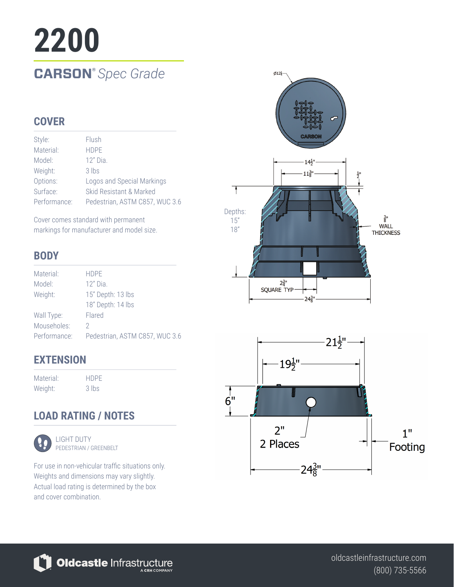# **2200 CARSON®** *Spec Grade*

## **COVER**

| Style:       | Flush                          |
|--------------|--------------------------------|
| Material:    | <b>HDPF</b>                    |
| Model:       | $12"$ Dia.                     |
| Weight:      | $3$ lbs                        |
| Options:     | Logos and Special Markings     |
| Surface:     | Skid Resistant & Marked        |
| Performance: | Pedestrian, ASTM C857, WUC 3.6 |

Cover comes standard with permanent markings for manufacturer and model size.

## **BODY**

| Material:    | <b>HDPE</b>                    |
|--------------|--------------------------------|
| Model:       | $12"$ Dia.                     |
| Weight:      | 15" Depth: 13 lbs              |
|              | 18" Depth: 14 lbs              |
| Wall Type:   | Flared                         |
| Mouseholes:  | 2                              |
| Performance: | Pedestrian, ASTM C857, WUC 3.6 |
|              |                                |

## **EXTENSION**

| Material: | <b>HDPF</b> |
|-----------|-------------|
| Weight:   | 3 lbs       |

# **LOAD RATING / NOTES**



LIGHT DUTY PEDESTRIAN / GREENBELT

For use in non-vehicular traffic situations only. Weights and dimensions may vary slightly. Actual load rating is determined by the box and cover combination.



Oldcastle Infrastructure

(800) 735-5566 oldcastleinfrastructure.com